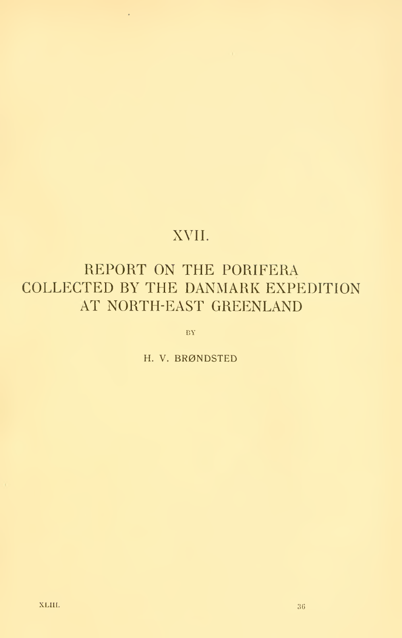## XVII.

 $\overline{a}$ 

### REPORT ON THE PORIFERA COLLECTED BY THE DANMARK EXPEDITION AT NORTH-EAST GREENLAND

BY

H. V. BRØNDSTED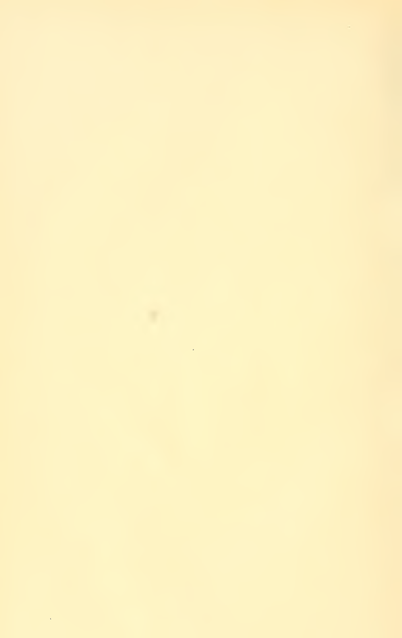$\Delta \phi$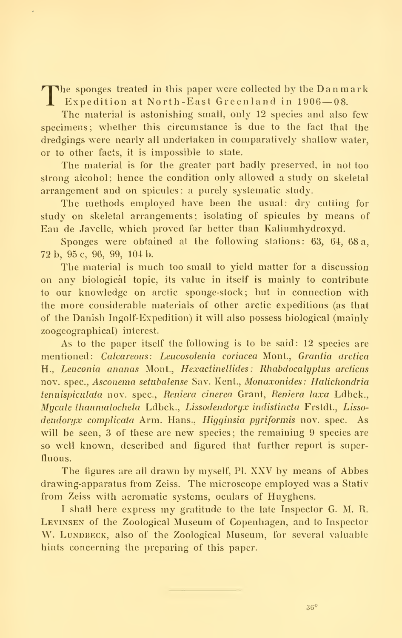The sponges treated in this paper were collected by the Danmark Expedition at North -East Greenland in <sup>1906</sup> —08.

The material is astonishing small, only 12 species and also few specimens; whether this circumstance is due to the fact that the dredgings were nearly all undertaken in comparatively shallow water, or to other facts, it is impossible to state.

The material is for the greater part badly preserved, in not too strong alcohol; hence the condition only allowed a study on skeletal arrangement and on spicules: a purely systematic study.

The methods employed have been the usual: dry cutting for study on skeletal arrangements; isolating of spicules by means of Eau de Javelle, which proved far better than Kaliumhydroxyd.

Sponges were obtained at the following stations: 63, 64, 68 a, 72 b, 95 c, 96, 99, 104 b.

The material is much too small to yield matter for a discussion on any biological topic, its value in itself is mainly to contribute to our knowledge on arctic sponge-stock; but in connection with the more considerable materials of other arctic expeditions (as that of the Danish Ingolf-Expedition) it will also possess biological (mainly zoogeographical) interest.

As to the paper itself the following is to be said: 12 species are mentioned: Calcareous: Leucosolenia coriacea Mont., Grantia arctica H., Leuconia ananas Mont., Hexactinellides : Rhabdocalyptus arcticus nov. spec, Asconema setuhalense Sav. Kent., Monaxonides : Halichondria tenuispiculata nov. spec. Reniera cinerea Grant, Reniera laxa Ldbck., Mycale thaumatochela Ldbck., Lissodendoryx indistincta Frstdt., Lissodendoryx complicata Arm. Hans., Higginsia pyriformis nov. spec. As will be seen, 3 of these are new species; the remaining 9 species are so well known, described and figured that further report is superfluous.

The figures are all drawn by myself, PI. XXV by means of Abbes drawing-apparatus from Zeiss. The microscope employed was a Stativ from Zeiss with acromatic systems, oculars of Huyghens.

<sup>I</sup> shall here express my gratitude to the late Inspector G. M. R. Levinsen of the Zoological Museum of Copenhagen, and to Inspector W. LUNDBECK, also of the Zoological Museum, for several valuable hints concerning the preparing of this paper.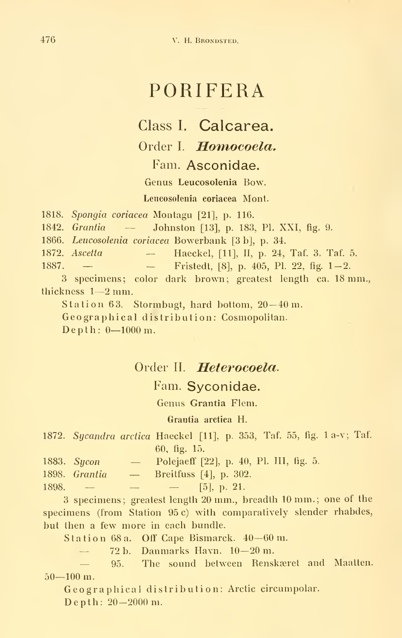## PORIFERA

# Glass I. Calcarea. Order L. Homocoela,

### Fam. Asconidae.

Genus Leucosolenia Bow.

#### Lencosolenia coriacea Mont.

1818. Spongia coriacea Montagu [21]. p. 116.

1842. Grantia — Johnston [13], p. 183, PI. XXI, fig. 9.

1866. Leucosolenia coriacea Bowerbank [3 b], p. 34.

1872. Ascetta — Haeckel, [11], II, p. 24, Taf. 3, Taf. 5.

1887. —  $-$  Fristedt, [8], p. 405, Pl. 22, fig.  $1-2$ .

3 specimens; color dark brown; greatest length ca. 18 mm., thickness  $1 - 2$  mm.

Station 63. Stormbugt, hard bottom, 20-40 m.

Geographical distribution: Cosmopolitan.

Depth: 0—<sup>1000</sup> m.

### Order II. Heterocoela.

### Fam. Syconidae.

Genus Grantia Flem.

#### Grantia arctica H.

1872. Sycandra arctica Haeckel [11], p. 353, Taf. 55, fig. 1 a-v; Taf. 60, fig. 15.

| 1883. Sycon | Polejaeff [22], p. 40, Pl. III, fig. 5. |  |
|-------------|-----------------------------------------|--|

1898. Grantia — Breitfuss [4], p. 302.

1898.  $\overline{5}$ , p. 21.

3 specimens; greatest length 20 mm., breadth 10 mm.; one of the specimens (from Station 95 c) with comparatively slender rhabdes, but then a few more in each bundle.

Station 68a. Off Cape Bismarck. 40—<sup>60</sup> m. — <sup>72</sup> b. Danmarks Havn. 10—<sup>20</sup> m. — 95. The sound between Renskæret and Maatten. 50—<sup>100</sup> m.

Geographical distribution: Arctic circumpolar. Depth: 20-2000 m.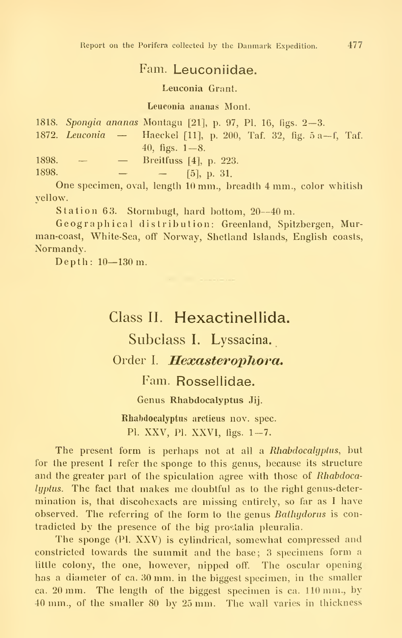#### Fam. Leuconiidae.

Leuconia Grant.

Leuconia ananas Mont.

1818. Spongia ananas Montagu [21], p. 97, PI. 16, figs. 2—3. 1872. Leuconia — Haeckel [11], p. 200, Taf. 32, fig. <sup>5</sup> a-f, Taf. 40, figs.  $1-8$ . 1898. — — Breitfuss [4], p. 223.<br>1898. — — — 151 p. 31.  $[5]$ , p. 31.

One specimen, oval, length <sup>10</sup> mm., breadth <sup>4</sup> mm., color whitish yellow.

Station 63. Stormbugt, hard bottom, 20—40 m.

Geographical distribution: Greenland, Spitzbergen, Murman-coast, White-Sea, off Norway, Shetland Islands, English coasts, Normandy.

Depth: 10—<sup>130</sup> m.

### Glass II. Hexactinellida.

Subclass I. Lyssacina.

### Order I. Hexasterophora.

Fam. Rossellidae.

Genus Rhabdocalyptus Jij.

Rhabdocalyptus arcticus nov, spec. Pl. XXV, Pl. XXVI, figs. 1-7.

The present form is perhaps not at all a Rhabdocalyptus, but for the present I refer the sponge to this genus, because its structure and the greater part of the spiculation agree with those of Rhabdocalyptus. The fact that makes me doubtful as to the right genus-determination is, that discohexacts are missing entirely, so far as <sup>I</sup> have observed. The referring of the form to the genus Bathydorus is contradicted by the presence of the big proslalia pleuralia.

The sponge (PI. XXV) is cylindrical, somewhat compressed and constricted towards the summit and the base; 3 specimens form a little colony, the one, however, nipped off. The oscular opening has <sup>a</sup> diameter of ca. 30 mm. in the biggest specimen, in the smaller ca. 20 mm. The length of the biggest specimen is ca. 110 mm., by 40 mm., of the smaller 80 by 25 mm. The wall varies in thickness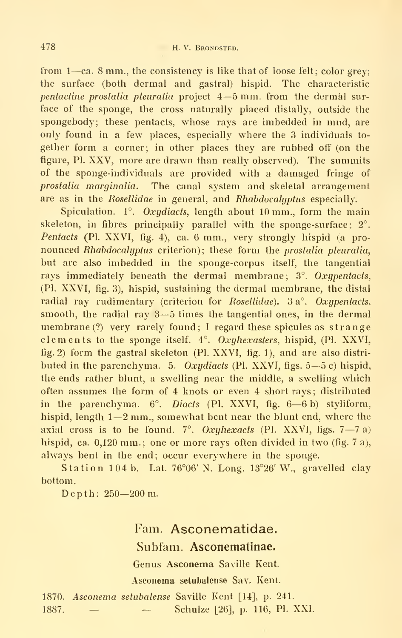from <sup>1</sup> ca. 8 mm., the consistency is like that of loose felt; color grey; the surface (both dermal and gastral) hispid. The characteristic pentactine prostalia pleuralia project 4—5 mm. from the dermal sur face of the sponge, the cross naturally placed distally, outside the spongebody; these pentacts, whose rays are imbedded in mud, are only found in a few places, especially where the 3 individuals to gether form a corner; in other places they are rubbed off (on the figure, PI, XXV, more are drawn than really observed). The summits of the sponge-individuals are provided with a damaged fringe of prostalia marginalia. The canal system and skeletal arrangement are as in the Rosellidae in general, and Rhabdocaluptus especially.

Spiculation.  $1^\circ$ . Oxydiacts, length about 10 mm., form the main skeleton, in fibres principally parallel with the sponge-surface; 2°. Pentacts (Pl. XXVI, fig. 4), ca. 6 mm., very strongly hispid (a pronounced Rhabdocalyptus criterion); these form the prostalia pleuralia, but are also imbedded in the sponge-corpus itself, the tangential rays immediately beneath the dermal membrane; 3°. Oxypentacts, (PI. XXVI, fig. 3), hispid, sustaining the dermal membrane, the distal radial ray rudimentary (criterion for Rosellidae). 3 a°. Oxypentacts, smooth, the radial ray  $3-5$  times the tangential ones, in the dermal membrane (?) very rarely found; <sup>I</sup> regard these spicules as strange elements to the sponge itself. 4°. Oxyhexasters, hispid, (PL XXVI, fig. 2) form the gastral skeleton (PI. XXVI, fig. 1), and are also distri buted in the parenchyma. 5. Oxydiacts (Pl. XXVI, figs.  $5-\overline{5}$  c) hispid, the ends rather blunt, a swelling near the middle, a swelling which often assumes the form of 4 knots or even 4 short rays; distributed in the parenchyma.  $6^\circ$ . *Diacts* (Pl. XXVI, fig.  $6-6$  b) styliform, hispid, length  $1-2$  mm., somewhat bent near the blunt end, where the axial cross is to be found.  $7^\circ$ . Oxyhexacts (Pl. XXVI, figs.  $7-7$  a) hispid, ca. 0,120 mm.; one or more rays often divided in two (fig. 7 a), always bent in the end; occur everywhere in the sponge.

Station 104 b. Lat. 76°06' N. Long. 13°26' W., gravelled clay bottom.

Depth: 250—200 m.

## Fam. Asconematidae.

Subfam. Asconematinae.

Genus Asconema Saville Kent.

Asconema setubalense Sav. Kent.

1870. Asconema setubalense Saville Kent [14], p. 241. 1887. — — Schulze [26], p. 116, PI. XXI.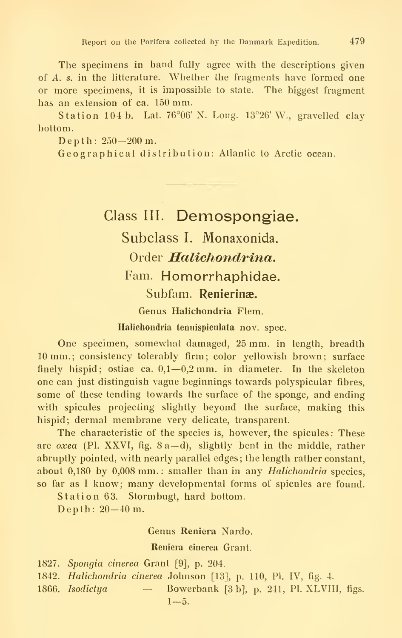The specimens in hand fully agree with the descriptions given of A. s. in the litterature. Whether the fragments have formed one or more specimens, it is impossible to state. The biggest fragment has an extension of ca. 150 mm.

Station 104 b. Lat. 76°06' N. Long. 13°26' W., gravelled clay bottom.

Depth: 250-200 m.

Geographical distribution: Atlantic to Arctic ocean.

## Class III. Demospongiae. Subclass I. Monaxonida. Order Halichondrina, Fam. Homorrhaphidae. Subfam. Renierinæ.

Genus Halichondria Flem.

Halichondria tenuispiculata nov, spec.

One specimen, somewhat damaged, 25 mm. in length, breadth 10 mm.; consistency tolerably firm; color yellowish brown; surface finely hispid; ostiae ca.  $0,1-0,2$  mm. in diameter. In the skeleton one can just distinguish vague beginnings towards polyspicular fibres, some of these tending towards the surface of the sponge, and ending with spicules projecting slightly beyond the surface, making this hispid; dermal membrane very delicate, transparent.

The characteristic of the species is, however, the spicules: These are  $\alpha$  are  $\alpha$  (Pl. XXVI, fig.  $8a-d$ ), slightly bent in the middle, rather abruptly pointed, with nearly parallel edges; the length rather constant, about 0,180 by 0,008 mm. : smaller than in any Halichondria species, so far as <sup>I</sup> know; many developmental forms of spicules are found.

Station 63. Stormbugt, hard bottom.

Depth: 20—40 m.

Genus Reniera Nardo.

Reniera cinerea Grant.

1827. Spongia cinerea Grant [9], p. 204.

1842. Halichondria cinerea Johnson [13], p. 110, PI. IV, fig. 4.

1866. Isodictya — Bowerbank [3 b], p. 241, PI. XLVIII, figs.  $1 - 5$ .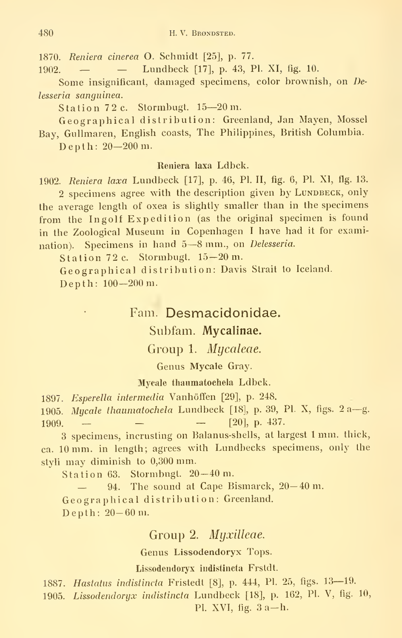1870. Reniera cinerea O. Schmidt [25], p. 77.

1902. — — Lundbeck [17], p. 43, PI. XI, fig. 10.

Some insignificant, damaged specimens, color brownish, on Delesseria sanguinea.

Station 72 c. Stormbugt. 15—<sup>20</sup> m.

Geographical distribution: Greenland, Jan Mayen, Mossel Bay, Gullmaren, English coasts. The Philippines, British Columbia. Depth: 20—200 m.

Reniera laxa Ldbck.

1902. Reniera laxa Lundbeck [17], p. 46, PI. II, fig. 6, PI. XI, flg. 13.

2 specimens agree with the description given by LUNDBECK, only the average length of oxea is slightly smaller than in the specimens from the Ingolf Expedition (as the original specimen is found in the Zoological Museum in Copenhagen I have had it for examination). Specimens in hand <sup>5</sup>—<sup>8</sup> mm., on Delesseria.

Station 72 c. Stormbugt.  $15-20$  m.

Geographical distribution: Davis Strait to Iceland. Depth: 100—<sup>200</sup> m.

### Fam. Desmacidonidae. Subfam. Mycalinae.

#### Group 1. *Mycaleae*.

Genus Mycale Gray.

Myeale thaumatochela Ldbck.

1897. Esperella intermedia Vanhoffen [29], p. 248. 1905. Mycale thaumatochela Lundbeck [18], p. 39, Pl. X, figs.  $2\text{ a--g.}$ 1909.  $\frac{1}{20}$  -  $\frac{1}{20}$ , p. 437.

<sup>3</sup> specimens, incrusting on Balanus-shells, at largest <sup>1</sup> mm. thick, ca. <sup>10</sup> mm. in length; agrees with Lundbecks specimens, only the styli may diminish to 0,300 mm.<br>Station 63. Stormbngt. 20-40 m.

 $\frac{S_1}{S_2}$  94. The sound at Cape Bismarck, 20–40 m. Geographical distribution: Greenland. Depth: 20-60 m.

### Group 2. *Myxilleae*.

Genus Lissodendoryx Tops.

Lissodendoryx indistincta Frstdt.

1887. Hastatus indistincta Fristedt [8], p. 444, PI. 25, figs. 13—19.

1905. Lissodendoryx indistincta Lundbeck [18], p. 162, PI. V, fig. 10,

Pl. XVI, fig.  $3a-h$ .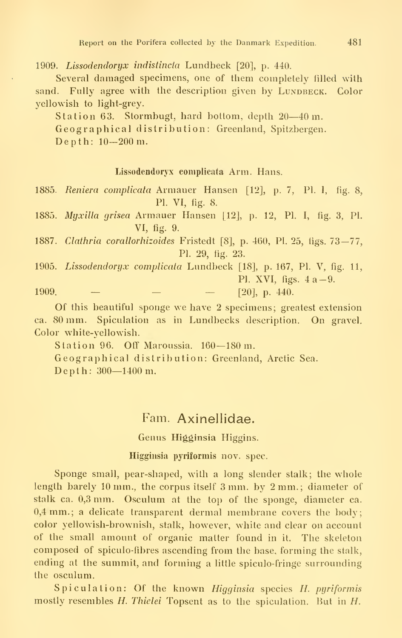1909. Lissodendoryx indistincta Lundbeck [20], p. 440.

Several damaged specimens, one of them completely filled with sand. Fully agree with the description given by Lundbeck. Color yellowish to light-grey.

Station 63. Stormbugt, hard bottom, depth <sup>20</sup>—<sup>40</sup> m. Geographical distribution: Greenland, Spitzbergen.

Depth: 10—200 m.

#### Lissodendoryx complicata Arm. Hans.

1885. Reniera complicata Armauer Hansen [12], p. 7, PI. 1, fig. 8, PL VI, fig. 8.

1885. Myxilla grisea Armauer Hansen [12], p. 12, PI. I, fig. 3, PI. VI, fig. 9.

1887. Clathria corallorhizoides Fristedt [8], p. 460, Pl. 25, figs. 73-77, PI. 29, fig. 23.

1905. Lissodendoryx complicata Lundbeck [18], p. 167, PI. V, fig. 11, Pl. XVI, figs.  $4a - 9$ . 1909.  $[20]$ , p. 440.

Of this beautiful sponge we have 2 specimens; greatest extension ca. <sup>80</sup> mm. Spiculation as in Lundbecks description. On gravel. Color white-yellowish.

Station 96. Off Maroussia. 160—180 m.

Geographical distribution: Greenland, Arctic Sea.

Depth: 300—1400 m.

#### Fam. Axinellidae.

Genus Higginsia Higgins.

Higginsia pyriformis nov. spec.

Sponge small, pear-shaped, with a long slender stalk; the whole length barely <sup>10</sup> mm., the corpus itself <sup>3</sup> mm. by <sup>2</sup> mm.; diameter of stalk ca. 0,3 mm. Osculum at the top of the sponge, diameter ca. 0,4mm.; a delicate transparent dermal membrane covers the body; color yellowish-brownish, stalk, however, white and clear on account of the small amount of organic matter found in it. The skeleton composed of spiculo-fibres ascending from the base, forming the stalk, ending at the summit, and forming a little spiculo-fringe surrounding the osculum.

Spiculation: Of the known Higginsia species H. pyriformis mostly resembles H. Thielei Topsent as to the spiculation. But in H.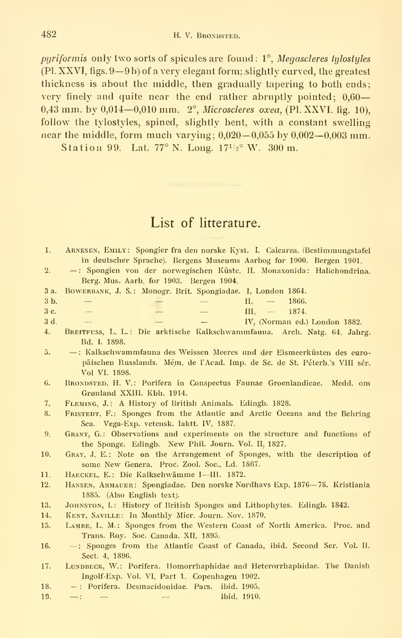puriformis only two sorts of spicules are found: 1°, Megascleres tylostyles (PI. XXVI, figs. 9—9 b) of <sup>a</sup> very elegant form; slightly curved, the greatest thickness is about the middle, then gradually tapering to both ends; very finely and quite near the end rather abruptly pointed; 0,60 0,43 mm. by 0,014—0,010 mm. 2°, Microscleres oxea, (PI. XXVI. fig. 10), follow the tylostyles, spined, slightly bent, with a constant swelling near the middle, form much varying;  $0.020 - 0.055$  by  $0.002 - 0.003$  mm.

Station 99. Lat. 77° N. Long.  $17^{1/2}$ ° W. 300 m.

### List of litterature.

| 1.   | ARNESEN, EMILY: Spongier fra den norske Kyst. I. Calcarea. (Bestimmungstafel |  |  |  |  |
|------|------------------------------------------------------------------------------|--|--|--|--|
|      | in deutscher Sprache). Bergens Museums Aarbog for 1900. Bergen 1901.         |  |  |  |  |
| 2.   | -: Spongien von der norwegischen Küste. II. Monaxonida: Halichondrina.       |  |  |  |  |
|      | Berg. Mus. Aarb. for 1903. Bergen 1904.                                      |  |  |  |  |
| 3 a. | BOWERBANK, J. S.: Monogr. Brit. Spongiadae. I, London 1864.                  |  |  |  |  |
| 3 b. | II.<br>$\overline{\phantom{0}}$<br>1866.                                     |  |  |  |  |
| 3 c. | $III. - 1874.$<br><b>Contract Contract</b><br>$\sim$                         |  |  |  |  |
| 3 d. | IV, (Norman ed.) London 1882.<br>$\overline{\phantom{m}}$                    |  |  |  |  |
| 4.   | BREITFUSS, L. L.: Die arktische Kalkschwammfauna. Arch. Natg. 64. Jahrg.     |  |  |  |  |
|      | Bd. I. 1898.                                                                 |  |  |  |  |
| 5.   | --: Kalkschwammfauna des Weissen Meeres und der Eismeerküsten des euro-      |  |  |  |  |
|      | päischen Russlands. Mém, de l'Acad. Imp. de Sc. de St. Péterb,'s VIII sér.   |  |  |  |  |
|      | Vol VI. 1898.                                                                |  |  |  |  |
| 6.   | BRONDSTED, H. V.: Porifera in Conspectus Faunae Groenlandicae. Medd. om      |  |  |  |  |
|      | Grønland XXIII. Kbh. 1914.                                                   |  |  |  |  |
| 7.   | FLEMING, J.: A History of British Animals. Edingb. 1828.                     |  |  |  |  |
| 8.   | FRISTEDT, F.: Sponges from the Atlantic and Arctic Oceans and the Behring    |  |  |  |  |
|      | Sea. Vega-Exp. vetensk. Iaktt. IV, 1887.                                     |  |  |  |  |
| 9.   | GRANT, G.: Observations and experiments on the structure and functions of    |  |  |  |  |
|      | the Sponge. Edingb. New Phil. Journ. Vol. II, 1827.                          |  |  |  |  |
| 10.  | GRAY, J. E.: Note on the Arrangement of Sponges, with the description of     |  |  |  |  |
|      | some New Genera. Proc. Zool. Soc., Ld. 1867.                                 |  |  |  |  |
| 11.  | HAECKEL, E.: Die Kalkschwämme I--III. 1872.                                  |  |  |  |  |
| 12.  | HANSEN, ARMAUER: Spongiadae. Den norske Nordhavs Exp. 1876–78. Kristiania    |  |  |  |  |
|      | 1885. (Also English text).                                                   |  |  |  |  |
| 13.  | JOHNSTON, I.: History of British Sponges and Lithophytes. Edingb. 1842.      |  |  |  |  |
| 14.  | KENT, SAVILLE: In Monthly Micr. Journ. Nov. 1870.                            |  |  |  |  |
| 15.  | LAMBE, L. M.: Sponges from the Western Coast of North America. Proc. and     |  |  |  |  |
|      | Trans. Roy. Soc. Canada. XII. 1895.                                          |  |  |  |  |
| 16.  | -: Sponges from the Atlantic Coast of Canada, ibid. Second Ser. Vol. II,     |  |  |  |  |
|      | Sect. 4, 1896.                                                               |  |  |  |  |
| 17.  | LUNDBECK, W.: Porifera. Homorrhaphidae and Heterorrhaphidae. The Danish      |  |  |  |  |
|      | Ingolf-Exp. Vol. VI, Part 1. Copenhagen 1902.                                |  |  |  |  |
| 18.  | $-$ : Porifera. Desmacidonidae. Pars. ibid. 1905.                            |  |  |  |  |
| 19.  | ibid. 1910.<br>$-$ :                                                         |  |  |  |  |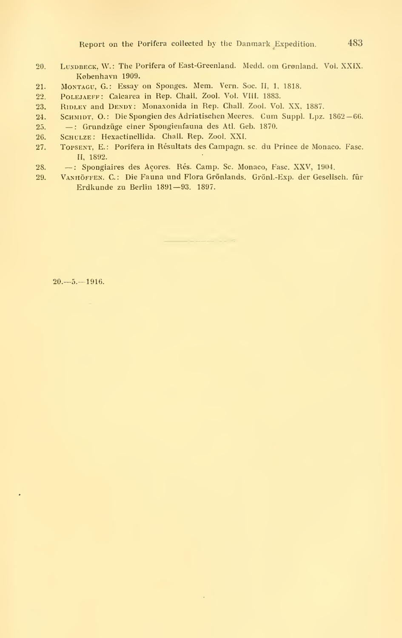- 20. LUNDBECK, W.: The Porifera of East-Greenland. Medd. om Grønland. Vol. XXIX. Kobenhavn 1909.
- 21. Montagu, G.: Essay on Sponges. Mem. Vern. Soc. II, 1, 1818.
- 22. Polejaeff: Calcarea in Rep. Chall. Zool. Vol. VIII. 1883.
- 23. RIDLEY and DENDY: Monaxonida in Rep. Chall. Zool. Vol. XX, 1887.
- 24. Schmidt, O.: Die Spongien des Adriatischen Meeres. Cum Suppl. Lpz. 1862–66.
- 25. : Grundzüge einer Spongienfauna des Atl. Geb. 1870.
- 26. SCHULZE: Hexactinellida. Chall. Rep. Zool. XXI.
- 27. Topsent, E.: Porifera in Résultats des Campagn. sc. du Prince de Monaco. Fasc. II, 1892.
- 28. : Spongiaires des Açores. Rés. Camp. Se. Monaco, Fasc. XXV, 1904.
- 29. VANHÖFFEN. C.: Die Fauna und Flora Grönlands. Grönl.-Exp. der Gesellsch. für Erdkunde zu Berlin 1891—93. 1897.

20.—5.— 1916.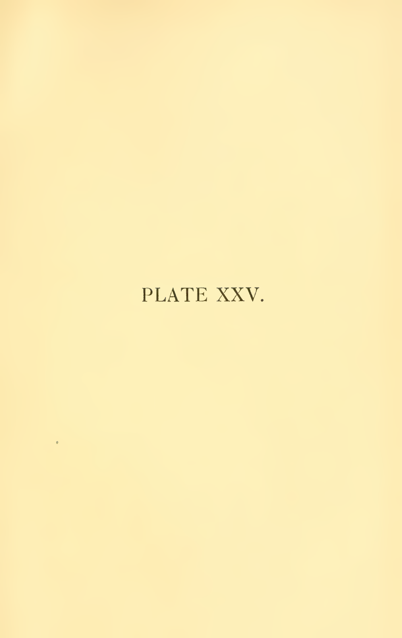# PLATE XXV,

 $\hat{\theta}$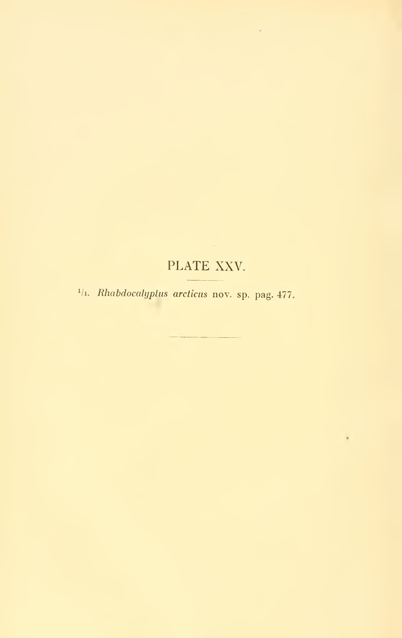### PLATE XXV.

**Contract Contract Contract** 

 $\begin{matrix} \bullet \end{matrix}$ 

 $V_{11}$ . Rhabdocalyptus arcticus nov. sp. pag. 477.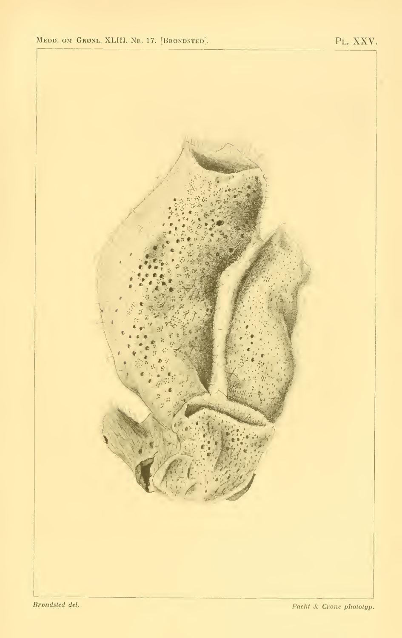

**Brøndsted del.** Pacht  $\&$  Crone phototyp.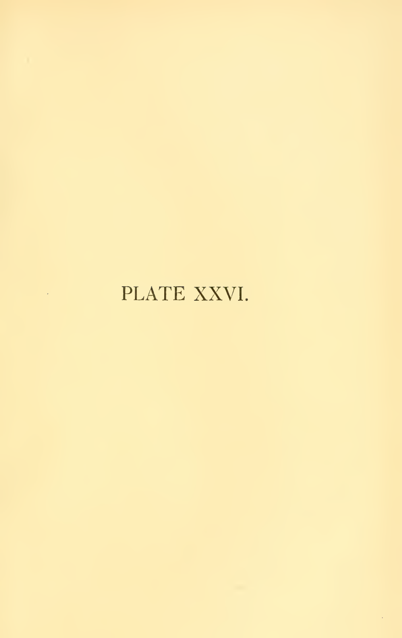# PLATE XXVI.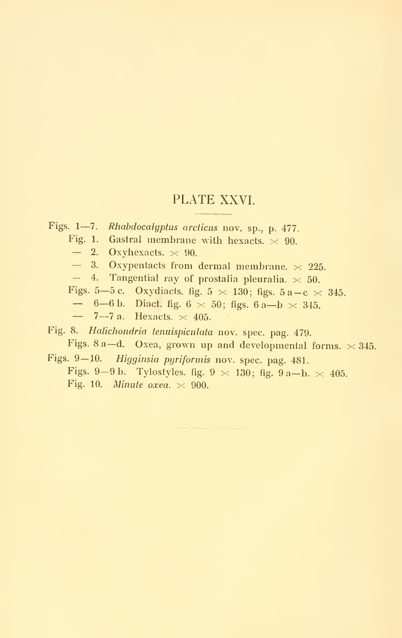### PLATE XXVI.

Figs. 1—7. Rhabdocalyptus arcticus nov. sp., p. 477.<br>Fig. 1. Gastral membrane with hexacts.  $\times$  90.

 $-$  2. Oxyhexacts.  $\times$  90.<br>  $-$  3. Oxypentacts from dermal membrane,  $\times$  225.<br>  $-$  4. Tangential ray of prostalia pleuralia.  $\times$  50.

Figs. 5—5 c. Oxydiacts. fig.  $5 \times 130$ ; figs.  $5a-c \times 345$ .

-- 6—6 b. Diact. fig.  $6 \times 50$ ; figs.  $6a-b \times 345$ .<br>-- 7--7 a. Hexacts.  $\times 405$ .

Fig. 8. Halichondria tenuispiculata nov. spec. pag. 479.

Figs. 8 a–d. Oxea, grown up and developmental forms.  $\times$  345.

Figs. 9-10. Higginsia pyriformis nov. spec. pag. 481.

Figs. 9–9 b. Tylostyles. fig. 9  $\times$  130; fig. 9 a–b.  $\times$  405.

Fig. 10. Minute oxea.  $\times$  900.